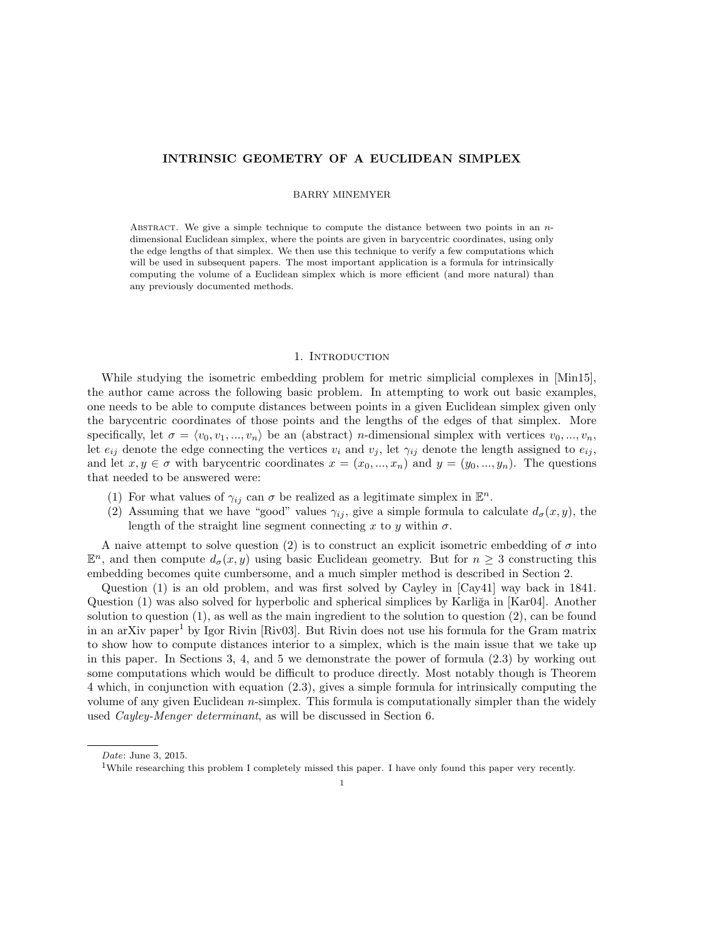# INTRINSIC GEOMETRY OF A EUCLIDEAN SIMPLEX

# BARRY MINEMYER

ABSTRACT. We give a simple technique to compute the distance between two points in an  $n$ dimensional Euclidean simplex, where the points are given in barycentric coordinates, using only the edge lengths of that simplex. We then use this technique to verify a few computations which will be used in subsequent papers. The most important application is a formula for intrinsically computing the volume of a Euclidean simplex which is more efficient (and more natural) than any previously documented methods.

### 1. INTRODUCTION

While studying the isometric embedding problem for metric simplicial complexes in [Min15], the author came across the following basic problem. In attempting to work out basic examples, one needs to be able to compute distances between points in a given Euclidean simplex given only the barycentric coordinates of those points and the lengths of the edges of that simplex. More specifically, let  $\sigma = \langle v_0, v_1, ..., v_n \rangle$  be an (abstract) *n*-dimensional simplex with vertices  $v_0, ..., v_n$ , let  $e_{ij}$  denote the edge connecting the vertices  $v_i$  and  $v_j$ , let  $\gamma_{ij}$  denote the length assigned to  $e_{ij}$ , and let  $x, y \in \sigma$  with barycentric coordinates  $x = (x_0, ..., x_n)$  and  $y = (y_0, ..., y_n)$ . The questions that needed to be answered were:

- (1) For what values of  $\gamma_{ij}$  can  $\sigma$  be realized as a legitimate simplex in  $\mathbb{E}^n$ .
- (2) Assuming that we have "good" values  $\gamma_{ij}$ , give a simple formula to calculate  $d_{\sigma}(x, y)$ , the length of the straight line segment connecting x to y within  $\sigma$ .

A naive attempt to solve question (2) is to construct an explicit isometric embedding of  $\sigma$  into  $\mathbb{E}^n$ , and then compute  $d_{\sigma}(x, y)$  using basic Euclidean geometry. But for  $n \geq 3$  constructing this embedding becomes quite cumbersome, and a much simpler method is described in Section 2.

Question (1) is an old problem, and was first solved by Cayley in [Cay41] way back in 1841. Question  $(1)$  was also solved for hyperbolic and spherical simplices by Karliğa in [Kar04]. Another solution to question (1), as well as the main ingredient to the solution to question (2), can be found in an arXiv paper<sup>1</sup> by Igor Rivin [Riv03]. But Rivin does not use his formula for the Gram matrix to show how to compute distances interior to a simplex, which is the main issue that we take up in this paper. In Sections 3, 4, and 5 we demonstrate the power of formula (2.3) by working out some computations which would be difficult to produce directly. Most notably though is Theorem 4 which, in conjunction with equation (2.3), gives a simple formula for intrinsically computing the volume of any given Euclidean n-simplex. This formula is computationally simpler than the widely used Cayley-Menger determinant, as will be discussed in Section 6.

Date: June 3, 2015.

<sup>&</sup>lt;sup>1</sup>While researching this problem I completely missed this paper. I have only found this paper very recently.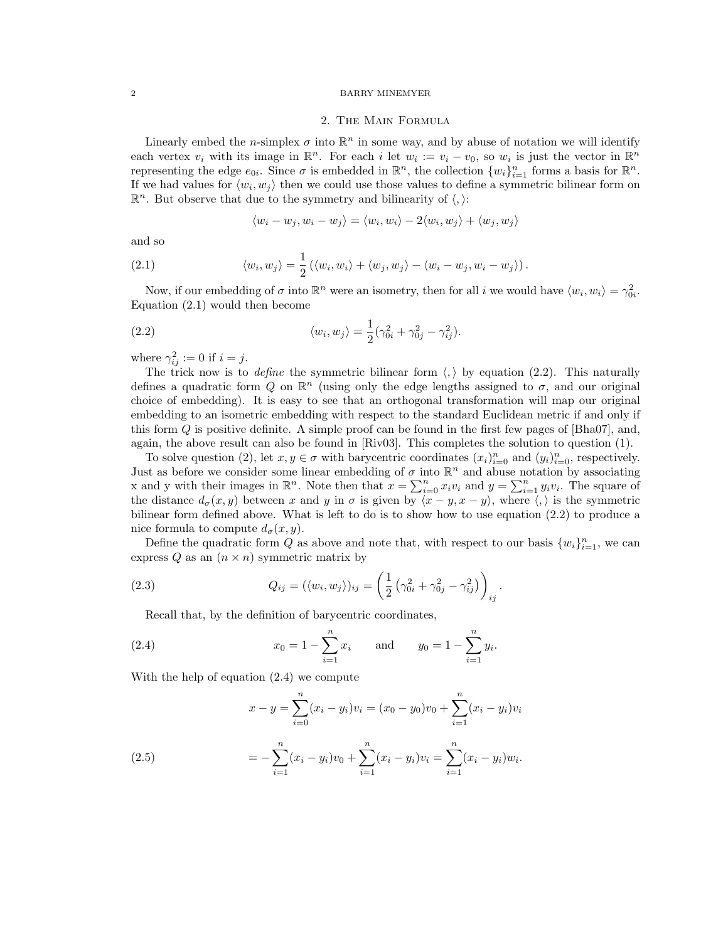#### 2 BARRY MINEMYER

## 2. The Main Formula

Linearly embed the *n*-simplex  $\sigma$  into  $\mathbb{R}^n$  in some way, and by abuse of notation we will identify each vertex  $v_i$  with its image in  $\mathbb{R}^n$ . For each i let  $w_i := v_i - v_0$ , so  $w_i$  is just the vector in  $\mathbb{R}^n$ representing the edge  $e_{0i}$ . Since  $\sigma$  is embedded in  $\mathbb{R}^n$ , the collection  $\{w_i\}_{i=1}^n$  forms a basis for  $\mathbb{R}^n$ . If we had values for  $\langle w_i, w_j \rangle$  then we could use those values to define a symmetric bilinear form on  $\mathbb{R}^n$ . But observe that due to the symmetry and bilinearity of  $\langle, \rangle$ :

$$
\langle w_i - w_j, w_i - w_j \rangle = \langle w_i, w_i \rangle - 2\langle w_i, w_j \rangle + \langle w_j, w_j \rangle
$$

and so

(2.1) 
$$
\langle w_i, w_j \rangle = \frac{1}{2} (\langle w_i, w_i \rangle + \langle w_j, w_j \rangle - \langle w_i - w_j, w_i - w_j \rangle).
$$

Now, if our embedding of  $\sigma$  into  $\mathbb{R}^n$  were an isometry, then for all i we would have  $\langle w_i, w_i \rangle = \gamma_{0i}^2$ . Equation (2.1) would then become

(2.2) 
$$
\langle w_i, w_j \rangle = \frac{1}{2} (\gamma_{0i}^2 + \gamma_{0j}^2 - \gamma_{ij}^2).
$$

where  $\gamma_{ij}^2 := 0$  if  $i = j$ .

The trick now is to *define* the symmetric bilinear form  $\langle, \rangle$  by equation (2.2). This naturally defines a quadratic form Q on  $\mathbb{R}^n$  (using only the edge lengths assigned to  $\sigma$ , and our original choice of embedding). It is easy to see that an orthogonal transformation will map our original embedding to an isometric embedding with respect to the standard Euclidean metric if and only if this form Q is positive definite. A simple proof can be found in the first few pages of [Bha07], and, again, the above result can also be found in [Riv03]. This completes the solution to question (1).

To solve question (2), let  $x, y \in \sigma$  with barycentric coordinates  $(x_i)_{i=0}^n$  and  $(y_i)_{i=0}^n$ , respectively. Just as before we consider some linear embedding of  $\sigma$  into  $\mathbb{R}^n$  and abuse notation by associating x and y with their images in  $\mathbb{R}^n$ . Note then that  $x = \sum_{i=0}^n x_i v_i$  and  $y = \sum_{i=1}^n y_i v_i$ . The square of the distance  $d_{\sigma}(x, y)$  between x and y in  $\sigma$  is given by  $\overline{\langle x - y, x - y \rangle}$ , where  $\langle , \rangle$  is the symmetric bilinear form defined above. What is left to do is to show how to use equation (2.2) to produce a nice formula to compute  $d_{\sigma}(x, y)$ .

Define the quadratic form Q as above and note that, with respect to our basis  $\{w_i\}_{i=1}^n$ , we can express Q as an  $(n \times n)$  symmetric matrix by

(2.3) 
$$
Q_{ij} = (\langle w_i, w_j \rangle)_{ij} = \left(\frac{1}{2} \left(\gamma_{0i}^2 + \gamma_{0j}^2 - \gamma_{ij}^2\right)\right)_{ij}.
$$

Recall that, by the definition of barycentric coordinates,

(2.4) 
$$
x_0 = 1 - \sum_{i=1}^n x_i
$$
 and  $y_0 = 1 - \sum_{i=1}^n y_i$ .

With the help of equation (2.4) we compute

(2.5)  
\n
$$
x - y = \sum_{i=0}^{n} (x_i - y_i)v_i = (x_0 - y_0)v_0 + \sum_{i=1}^{n} (x_i - y_i)v_i
$$
\n
$$
= -\sum_{i=1}^{n} (x_i - y_i)v_0 + \sum_{i=1}^{n} (x_i - y_i)v_i = \sum_{i=1}^{n} (x_i - y_i)w_i.
$$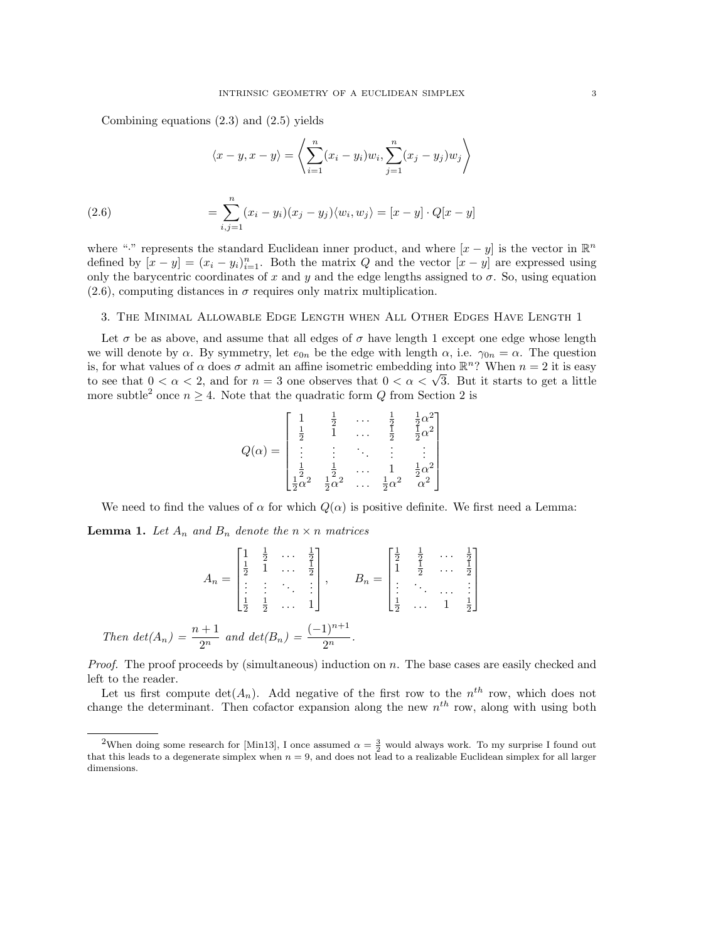Combining equations (2.3) and (2.5) yields

(2.6)  
\n
$$
\langle x - y, x - y \rangle = \left\langle \sum_{i=1}^{n} (x_i - y_i) w_i, \sum_{j=1}^{n} (x_j - y_j) w_j \right\rangle
$$
\n
$$
= \sum_{i,j=1}^{n} (x_i - y_i)(x_j - y_j) \langle w_i, w_j \rangle = [x - y] \cdot Q[x - y]
$$

where "." represents the standard Euclidean inner product, and where  $[x - y]$  is the vector in  $\mathbb{R}^n$ defined by  $[x - y] = (x_i - y_i)_{i=1}^n$ . Both the matrix Q and the vector  $[x - y]$  are expressed using only the barycentric coordinates of x and y and the edge lengths assigned to  $\sigma$ . So, using equation  $(2.6)$ , computing distances in  $\sigma$  requires only matrix multiplication.

## 3. The Minimal Allowable Edge Length when All Other Edges Have Length 1

Let  $\sigma$  be as above, and assume that all edges of  $\sigma$  have length 1 except one edge whose length we will denote by  $\alpha$ . By symmetry, let  $e_{0n}$  be the edge with length  $\alpha$ , i.e.  $\gamma_{0n} = \alpha$ . The question is, for what values of  $\alpha$  does  $\sigma$  admit an affine isometric embedding into  $\mathbb{R}^n$ ? When  $n = 2$  it is easy to see that  $0 < \alpha < 2$ , and for  $n = 3$  one observes that  $0 < \alpha < \sqrt{3}$ . But it starts to get a little more subtle<sup>2</sup> once  $n \geq 4$ . Note that the quadratic form Q from Section 2 is

$$
Q(\alpha) = \begin{bmatrix} 1 & \frac{1}{2} & \cdots & \frac{1}{2} & \frac{1}{2}\alpha^2 \\ \frac{1}{2} & 1 & \cdots & \frac{1}{2} & \frac{1}{2}\alpha^2 \\ \vdots & \vdots & \ddots & \vdots & \vdots \\ \frac{1}{2}\alpha^2 & \frac{1}{2}\alpha^2 & \cdots & \frac{1}{2}\alpha^2 & \alpha^2 \end{bmatrix}
$$

We need to find the values of  $\alpha$  for which  $Q(\alpha)$  is positive definite. We first need a Lemma:

 $\equiv$  4

 $\overline{1}$ 

**Lemma 1.** Let  $A_n$  and  $B_n$  denote the  $n \times n$  matrices

 $\mathbf{1}$ 

$$
A_n = \begin{bmatrix} 1 & \frac{1}{2} & \cdots & \frac{1}{2} \\ \frac{1}{2} & 1 & \cdots & \frac{1}{2} \\ \vdots & \vdots & \ddots & \vdots \\ \frac{1}{2} & \frac{1}{2} & \cdots & 1 \end{bmatrix}, \qquad B_n = \begin{bmatrix} \frac{1}{2} & \frac{1}{2} & \cdots & \frac{1}{2} \\ 1 & \frac{1}{2} & \cdots & \frac{1}{2} \\ \vdots & \ddots & \ddots & \vdots \\ \frac{1}{2} & \cdots & 1 & \frac{1}{2} \end{bmatrix}
$$
  
Then  $det(A_n) = \frac{n+1}{2^n}$  and  $det(B_n) = \frac{(-1)^{n+1}}{2^n}$ .

 $11.14$ 

*Proof.* The proof proceeds by (simultaneous) induction on n. The base cases are easily checked and left to the reader.

Let us first compute  $\det(A_n)$ . Add negative of the first row to the  $n^{th}$  row, which does not change the determinant. Then cofactor expansion along the new  $n^{th}$  row, along with using both

<sup>&</sup>lt;sup>2</sup>When doing some research for [Min13], I once assumed  $\alpha = \frac{3}{2}$  would always work. To my surprise I found out that this leads to a degenerate simplex when  $n = 9$ , and does not lead to a realizable Euclidean simplex for all larger dimensions.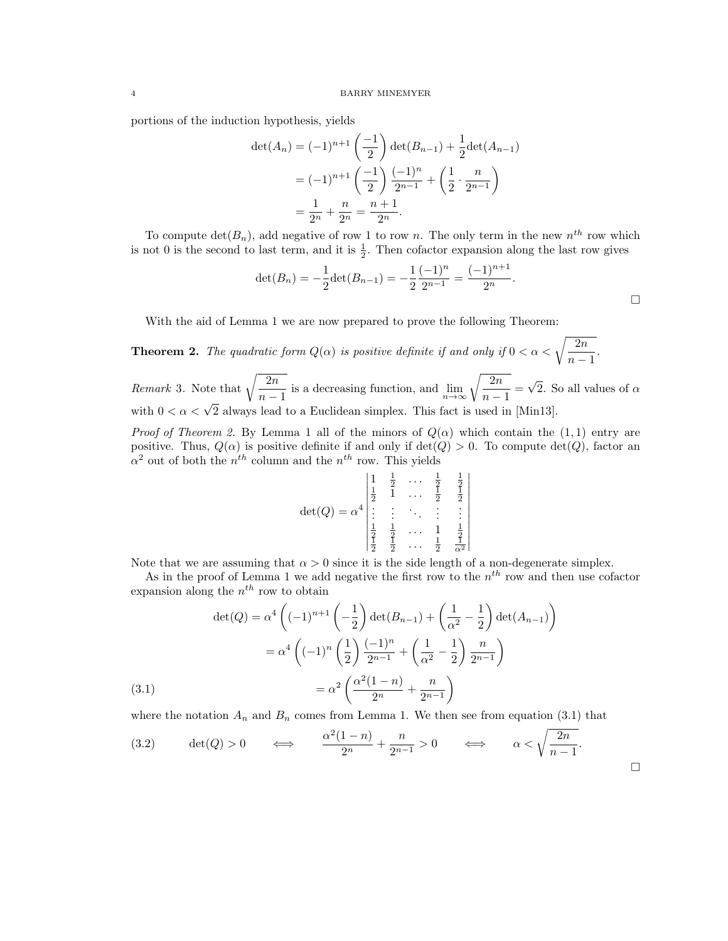portions of the induction hypothesis, yields

$$
\det(A_n) = (-1)^{n+1} \left(\frac{-1}{2}\right) \det(B_{n-1}) + \frac{1}{2} \det(A_{n-1})
$$

$$
= (-1)^{n+1} \left(\frac{-1}{2}\right) \frac{(-1)^n}{2^{n-1}} + \left(\frac{1}{2} \cdot \frac{n}{2^{n-1}}\right)
$$

$$
= \frac{1}{2^n} + \frac{n}{2^n} = \frac{n+1}{2^n}.
$$

To compute  $\det(B_n)$ , add negative of row 1 to row n. The only term in the new  $n<sup>th</sup>$  row which is not 0 is the second to last term, and it is  $\frac{1}{2}$ . Then cofactor expansion along the last row gives

$$
\det(B_n) = -\frac{1}{2}\det(B_{n-1}) = -\frac{1}{2}\frac{(-1)^n}{2^{n-1}} = \frac{(-1)^{n+1}}{2^n}.
$$

 $\overline{\phantom{a}}$  $\overline{\phantom{a}}$  $\downarrow$ I  $\overline{\phantom{a}}$  $\overline{\phantom{a}}$  $\overline{\phantom{a}}$  $\overline{\phantom{a}}$  $\overline{\phantom{a}}$  $\overline{\phantom{a}}$  $\overline{\phantom{a}}$ 

 $\Box$ 

With the aid of Lemma 1 we are now prepared to prove the following Theorem:

**Theorem 2.** The quadratic form  $Q(\alpha)$  is positive definite if and only if  $0 < \alpha < \sqrt{\frac{2n}{n}}$  $\frac{2n}{n-1}$ .

*Remark* 3. Note that  $\sqrt{\frac{2n}{m}}$  $\sqrt{\frac{2n}{n-1}}$  is a decreasing function, and  $\lim_{n \to \infty} \sqrt{\frac{2n}{n-1}}$  $\frac{2n}{n-1} =$ √ 2. So all values of  $\alpha$ with  $0 < \alpha < \sqrt{2}$  always lead to a Euclidean simplex. This fact is used in [Min13].

Proof of Theorem 2. By Lemma 1 all of the minors of  $Q(\alpha)$  which contain the (1,1) entry are positive. Thus,  $Q(\alpha)$  is positive definite if and only if  $\det(Q) > 0$ . To compute  $\det(Q)$ , factor an  $\alpha^2$  out of both the  $n^{th}$  column and the  $n^{th}$  row. This yields

$$
\det(Q) = \alpha^4 \begin{vmatrix} 1 & \frac{1}{2} & \cdots & \frac{1}{2} & \frac{1}{2} \\ \frac{1}{2} & 1 & \cdots & \frac{1}{2} & \frac{1}{2} \\ \vdots & \vdots & \ddots & \vdots & \vdots \\ \frac{1}{2} & \frac{1}{2} & \cdots & 1 & \frac{1}{2} \\ \frac{1}{2} & \frac{1}{2} & \cdots & \frac{1}{2} & \frac{1}{\alpha^2} \end{vmatrix}
$$

Note that we are assuming that  $\alpha > 0$  since it is the side length of a non-degenerate simplex.

As in the proof of Lemma 1 we add negative the first row to the  $n<sup>th</sup>$  row and then use cofactor expansion along the  $n^{th}$  row to obtain

(3.1)  
\n
$$
\det(Q) = \alpha^4 \left( (-1)^{n+1} \left( -\frac{1}{2} \right) \det(B_{n-1}) + \left( \frac{1}{\alpha^2} - \frac{1}{2} \right) \det(A_{n-1}) \right)
$$
\n
$$
= \alpha^4 \left( (-1)^n \left( \frac{1}{2} \right) \frac{(-1)^n}{2^{n-1}} + \left( \frac{1}{\alpha^2} - \frac{1}{2} \right) \frac{n}{2^{n-1}} \right)
$$
\n
$$
= \alpha^2 \left( \frac{\alpha^2 (1-n)}{2^n} + \frac{n}{2^{n-1}} \right)
$$

where the notation  $A_n$  and  $B_n$  comes from Lemma 1. We then see from equation (3.1) that

(3.2) 
$$
\det(Q) > 0 \qquad \Longleftrightarrow \qquad \frac{\alpha^2(1-n)}{2^n} + \frac{n}{2^{n-1}} > 0 \qquad \Longleftrightarrow \qquad \alpha < \sqrt{\frac{2n}{n-1}}.
$$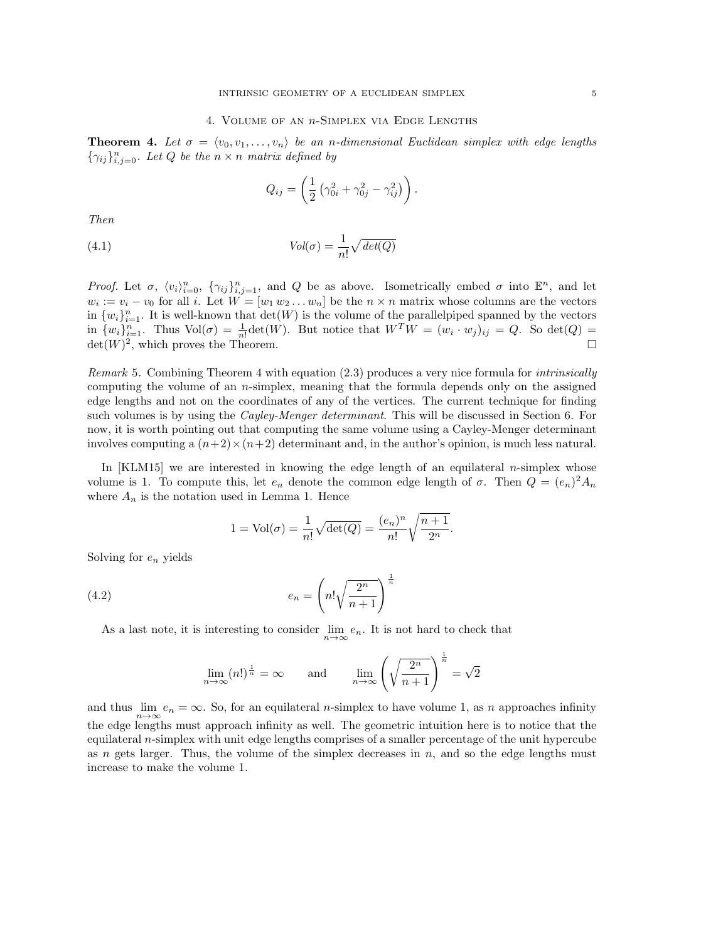### 4. Volume of an n-Simplex via Edge Lengths

**Theorem 4.** Let  $\sigma = \langle v_0, v_1, \ldots, v_n \rangle$  be an n-dimensional Euclidean simplex with edge lengths  ${\gamma_{ij}}_{i,j=0}^n$ . Let Q be the  $n \times n$  matrix defined by

$$
Q_{ij} = \left(\frac{1}{2}\left(\gamma_{0i}^2 + \gamma_{0j}^2 - \gamma_{ij}^2\right)\right).
$$

Then

(4.1) 
$$
Vol(\sigma) = \frac{1}{n!} \sqrt{det(Q)}
$$

Proof. Let  $\sigma$ ,  $\langle v_i \rangle_{i=0}^n$ ,  $\{\gamma_{ij}\}_{i,j=1}^n$ , and Q be as above. Isometrically embed  $\sigma$  into  $\mathbb{E}^n$ , and let  $w_i := v_i - v_0$  for all i. Let  $W = [w_1 w_2 ... w_n]$  be the  $n \times n$  matrix whose columns are the vectors in  $\{w_i\}_{i=1}^n$ . It is well-known that  $\det(W)$  is the volume of the parallelpiped spanned by the vectors in  $\{w_i\}_{i=1}^n$ . Thus  $Vol(\sigma) = \frac{1}{n!} det(W)$ . But notice that  $W^T W = (w_i \cdot w_j)_{ij} = Q$ . So  $det(Q) =$  $\det(W)^2$ , which proves the Theorem.

Remark 5. Combining Theorem 4 with equation (2.3) produces a very nice formula for intrinsically computing the volume of an n-simplex, meaning that the formula depends only on the assigned edge lengths and not on the coordinates of any of the vertices. The current technique for finding such volumes is by using the *Cayley-Menger determinant*. This will be discussed in Section 6. For now, it is worth pointing out that computing the same volume using a Cayley-Menger determinant involves computing a  $(n+2) \times (n+2)$  determinant and, in the author's opinion, is much less natural.

In  $\text{[KLM15]}$  we are interested in knowing the edge length of an equilateral *n*-simplex whose volume is 1. To compute this, let  $e_n$  denote the common edge length of  $\sigma$ . Then  $Q = (e_n)^2 A_n$ where  $A_n$  is the notation used in Lemma 1. Hence

$$
1 = Vol(\sigma) = \frac{1}{n!} \sqrt{\det(Q)} = \frac{(e_n)^n}{n!} \sqrt{\frac{n+1}{2^n}}.
$$

Solving for  $e_n$  yields

(4.2) 
$$
e_n = \left(n! \sqrt{\frac{2^n}{n+1}}\right)^{\frac{1}{n}}
$$

As a last note, it is interesting to consider  $\lim_{n\to\infty} e_n$ . It is not hard to check that

$$
\lim_{n \to \infty} (n!)^{\frac{1}{n}} = \infty \quad \text{and} \quad \lim_{n \to \infty} \left( \sqrt{\frac{2^n}{n+1}} \right)^{\frac{1}{n}} = \sqrt{2}
$$

and thus  $\lim_{n\to\infty}e_n=\infty$ . So, for an equilateral *n*-simplex to have volume 1, as *n* approaches infinity the edge lengths must approach infinity as well. The geometric intuition here is to notice that the equilateral n-simplex with unit edge lengths comprises of a smaller percentage of the unit hypercube as n gets larger. Thus, the volume of the simplex decreases in  $n$ , and so the edge lengths must increase to make the volume 1.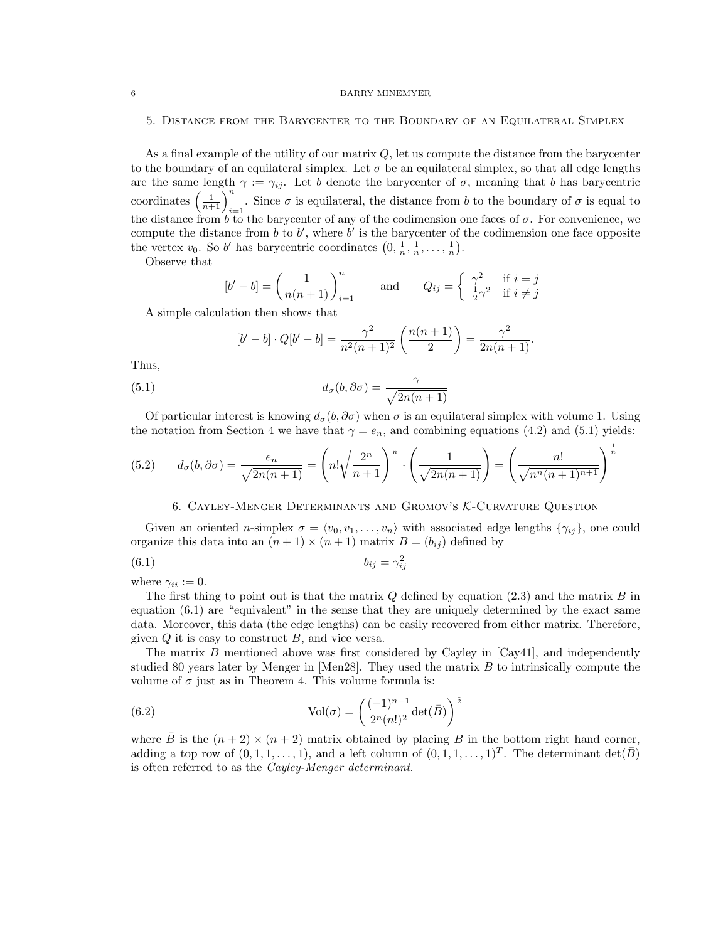#### 6 BARRY MINEMYER

## 5. Distance from the Barycenter to the Boundary of an Equilateral Simplex

As a final example of the utility of our matrix  $Q$ , let us compute the distance from the barycenter to the boundary of an equilateral simplex. Let  $\sigma$  be an equilateral simplex, so that all edge lengths are the same length  $\gamma := \gamma_{ij}$ . Let b denote the barycenter of  $\sigma$ , meaning that b has barycentric coordinates  $\left(\frac{1}{n+1}\right)_{i=1}^n$ . Since  $\sigma$  is equilateral, the distance from b to the boundary of  $\sigma$  is equal to the distance from  $b \overline{t}$  to the barycenter of any of the codimension one faces of  $\sigma$ . For convenience, we compute the distance from  $b$  to  $b'$ , where  $b'$  is the barycenter of the codimension one face opposite the vertex  $v_0$ . So b' has barycentric coordinates  $\left(0, \frac{1}{n}, \frac{1}{n}, \ldots, \frac{1}{n}\right)$ .

Observe that

$$
[b'-b] = \left(\frac{1}{n(n+1)}\right)_{i=1}^n \quad \text{and} \quad Q_{ij} = \begin{cases} \gamma^2 & \text{if } i=j\\ \frac{1}{2}\gamma^2 & \text{if } i \neq j \end{cases}
$$

A simple calculation then shows that

$$
[b'-b] \cdot Q[b'-b] = \frac{\gamma^2}{n^2(n+1)^2} \left(\frac{n(n+1)}{2}\right) = \frac{\gamma^2}{2n(n+1)}.
$$

Thus,

(5.1) 
$$
d_{\sigma}(b, \partial \sigma) = \frac{\gamma}{\sqrt{2n(n+1)}}
$$

Of particular interest is knowing  $d_{\sigma}(b, \partial \sigma)$  when  $\sigma$  is an equilateral simplex with volume 1. Using the notation from Section 4 we have that  $\gamma = e_n$ , and combining equations (4.2) and (5.1) yields:

(5.2) 
$$
d_{\sigma}(b, \partial \sigma) = \frac{e_n}{\sqrt{2n(n+1)}} = \left(n! \sqrt{\frac{2^n}{n+1}}\right)^{\frac{1}{n}} \cdot \left(\frac{1}{\sqrt{2n(n+1)}}\right) = \left(\frac{n!}{\sqrt{n^n(n+1)^{n+1}}}\right)^{\frac{1}{n}}
$$

# 6. Cayley-Menger Determinants and Gromov's K-Curvature Question

Given an oriented *n*-simplex  $\sigma = \langle v_0, v_1, \ldots, v_n \rangle$  with associated edge lengths  $\{\gamma_{ij}\}\$ , one could organize this data into an  $(n + 1) \times (n + 1)$  matrix  $B = (b_{ij})$  defined by

$$
(6.1) \t\t b_{ij} = \gamma_{ij}^2
$$

where  $\gamma_{ii} := 0$ .

The first thing to point out is that the matrix  $Q$  defined by equation (2.3) and the matrix  $B$  in equation (6.1) are "equivalent" in the sense that they are uniquely determined by the exact same data. Moreover, this data (the edge lengths) can be easily recovered from either matrix. Therefore, given  $Q$  it is easy to construct  $B$ , and vice versa.

The matrix  $B$  mentioned above was first considered by Cayley in [Cay41], and independently studied 80 years later by Menger in [Men28]. They used the matrix B to intrinsically compute the volume of  $\sigma$  just as in Theorem 4. This volume formula is:

(6.2) 
$$
\text{Vol}(\sigma) = \left(\frac{(-1)^{n-1}}{2^n (n!)^2} \det(\bar{B})\right)^{\frac{1}{2}}
$$

where B is the  $(n + 2) \times (n + 2)$  matrix obtained by placing B in the bottom right hand corner, adding a top row of  $(0, 1, 1, \ldots, 1)$ , and a left column of  $(0, 1, 1, \ldots, 1)^T$ . The determinant  $\det(\bar{B})$ is often referred to as the Cayley-Menger determinant.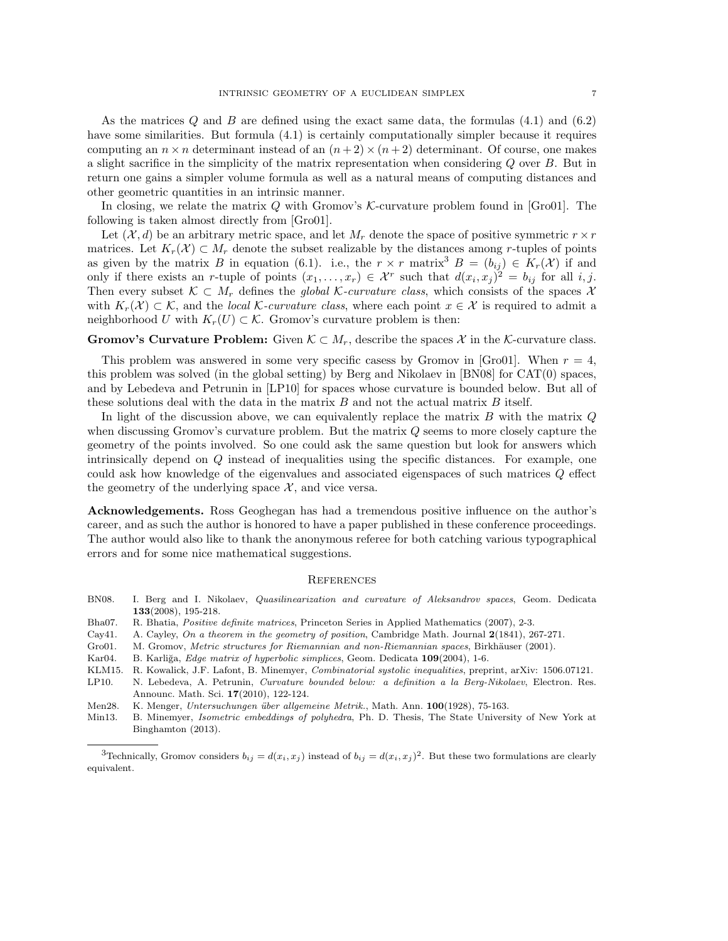As the matrices  $Q$  and  $B$  are defined using the exact same data, the formulas  $(4.1)$  and  $(6.2)$ have some similarities. But formula  $(4.1)$  is certainly computationally simpler because it requires computing an  $n \times n$  determinant instead of an  $(n+2) \times (n+2)$  determinant. Of course, one makes a slight sacrifice in the simplicity of the matrix representation when considering Q over B. But in return one gains a simpler volume formula as well as a natural means of computing distances and other geometric quantities in an intrinsic manner.

In closing, we relate the matrix Q with Gromov's  $K$ -curvature problem found in [Gro01]. The following is taken almost directly from [Gro01].

Let  $(\mathcal{X}, d)$  be an arbitrary metric space, and let  $M_r$  denote the space of positive symmetric  $r \times r$ matrices. Let  $K_r(\mathcal{X}) \subset M_r$  denote the subset realizable by the distances among r-tuples of points as given by the matrix B in equation (6.1). i.e., the  $r \times r$  matrix<sup>3</sup> B =  $(b_{ij}) \in K_r(\mathcal{X})$  if and only if there exists an r-tuple of points  $(x_1, \ldots, x_r) \in \mathcal{X}^r$  such that  $d(x_i, x_j)^2 = b_{ij}$  for all i, j. Then every subset  $K \subset M_r$  defines the global K-curvature class, which consists of the spaces X with  $K_r(\mathcal{X}) \subset \mathcal{K}$ , and the local K-curvature class, where each point  $x \in \mathcal{X}$  is required to admit a neighborhood U with  $K_r(U) \subset \mathcal{K}$ . Gromov's curvature problem is then:

# **Gromov's Curvature Problem:** Given  $K \subset M_r$ , describe the spaces X in the K-curvature class.

This problem was answered in some very specific casess by Gromov in [Gro01]. When  $r = 4$ , this problem was solved (in the global setting) by Berg and Nikolaev in [BN08] for CAT(0) spaces, and by Lebedeva and Petrunin in [LP10] for spaces whose curvature is bounded below. But all of these solutions deal with the data in the matrix  $B$  and not the actual matrix  $B$  itself.

In light of the discussion above, we can equivalently replace the matrix  $B$  with the matrix  $Q$ when discussing Gromov's curvature problem. But the matrix  $Q$  seems to more closely capture the geometry of the points involved. So one could ask the same question but look for answers which intrinsically depend on Q instead of inequalities using the specific distances. For example, one could ask how knowledge of the eigenvalues and associated eigenspaces of such matrices Q effect the geometry of the underlying space  $\mathcal{X}$ , and vice versa.

Acknowledgements. Ross Geoghegan has had a tremendous positive influence on the author's career, and as such the author is honored to have a paper published in these conference proceedings. The author would also like to thank the anonymous referee for both catching various typographical errors and for some nice mathematical suggestions.

# **REFERENCES**

|  | BN08. I. Berg and I. Nikolaev, Quasilinearization and curvature of Aleksandrov spaces, Geom. Dedicata |  |  |  |  |
|--|-------------------------------------------------------------------------------------------------------|--|--|--|--|
|  | $133(2008), 195-218.$                                                                                 |  |  |  |  |

- Bha07. R. Bhatia, Positive definite matrices, Princeton Series in Applied Mathematics (2007), 2-3.
- Cay41. A. Cayley, On a theorem in the geometry of position, Cambridge Math. Journal 2(1841), 267-271.
- Gro01. M. Gromov, Metric structures for Riemannian and non-Riemannian spaces, Birkhäuser (2001).
- Kar04. B. Karliğa, Edge matrix of hyperbolic simplices, Geom. Dedicata 109(2004), 1-6.
- KLM15. R. Kowalick, J.F. Lafont, B. Minemyer, Combinatorial systolic inequalities, preprint, arXiv: 1506.07121.
- LP10. N. Lebedeva, A. Petrunin, Curvature bounded below: a definition a la Berg-Nikolaev, Electron. Res. Announc. Math. Sci. 17(2010), 122-124.
- Men28. K. Menger, Untersuchungen über allgemeine Metrik., Math. Ann. 100(1928), 75-163.
- Min13. B. Minemyer, Isometric embeddings of polyhedra, Ph. D. Thesis, The State University of New York at Binghamton (2013).

<sup>&</sup>lt;sup>3</sup>Technically, Gromov considers  $b_{ij} = d(x_i, x_j)$  instead of  $b_{ij} = d(x_i, x_j)^2$ . But these two formulations are clearly equivalent.